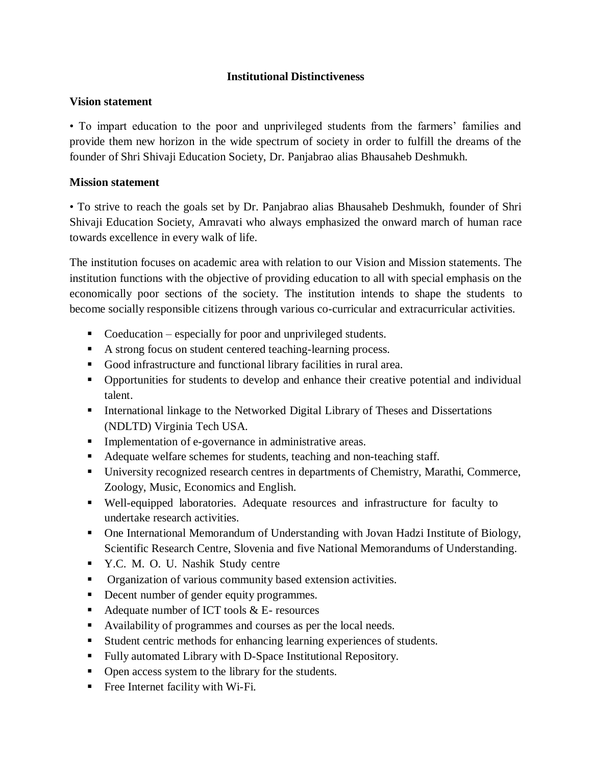## **Institutional Distinctiveness**

## **Vision statement**

• To impart education to the poor and unprivileged students from the farmers' families and provide them new horizon in the wide spectrum of society in order to fulfill the dreams of the founder of Shri Shivaji Education Society, Dr. Panjabrao alias Bhausaheb Deshmukh.

## **Mission statement**

• To strive to reach the goals set by Dr. Panjabrao alias Bhausaheb Deshmukh, founder of Shri Shivaji Education Society, Amravati who always emphasized the onward march of human race towards excellence in every walk of life.

The institution focuses on academic area with relation to our Vision and Mission statements. The institution functions with the objective of providing education to all with special emphasis on the economically poor sections of the society. The institution intends to shape the students to become socially responsible citizens through various co-curricular and extracurricular activities.

- Coeducation especially for poor and unprivileged students.
- A strong focus on student centered teaching-learning process.
- Good infrastructure and functional library facilities in rural area.
- Opportunities for students to develop and enhance their creative potential and individual talent.
- International linkage to the Networked Digital Library of Theses and Dissertations (NDLTD) Virginia Tech USA.
- **Implementation of e-governance in administrative areas.**
- Adequate welfare schemes for students, teaching and non-teaching staff.
- University recognized research centres in departments of Chemistry, Marathi, Commerce, Zoology, Music, Economics and English.
- Well-equipped laboratories. Adequate resources and infrastructure for faculty to undertake research activities.
- One International Memorandum of Understanding with Jovan Hadzi Institute of Biology, Scientific Research Centre, Slovenia and five National Memorandums of Understanding.
- Y.C. M. O. U. Nashik Study centre
- Organization of various community based extension activities.
- Decent number of gender equity programmes.
- Adequate number of ICT tools  $&E$  resources
- Availability of programmes and courses as per the local needs.
- Student centric methods for enhancing learning experiences of students.
- Fully automated Library with D-Space Institutional Repository.
- Open access system to the library for the students.
- Free Internet facility with Wi-Fi.